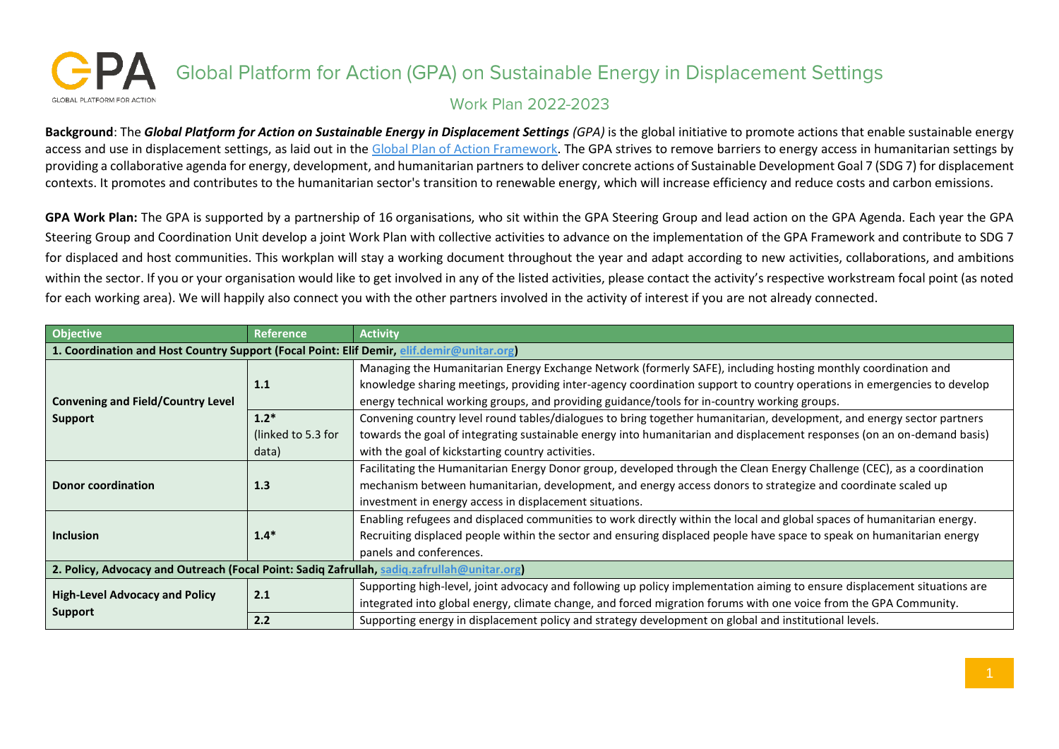## Global Platform for Action (GPA) on Sustainable Energy in Displacement Settings GLOBAL PLATEORM FOR ACTION **Work Plan 2022-2023**

**Background**: The *Global Platform for Action on Sustainable Energy in Displacement Settings (GPA)* is the global initiative to promote actions that enable sustainable energy access and use in displacement settings, as laid out in the [Global Plan of Action Framework.](https://unitar.org/sites/default/files/media/file/gpa_framework_final-compressed.pdf) The GPA strives to remove barriers to energy access in humanitarian settings by providing a collaborative agenda for energy, development, and humanitarian partners to deliver concrete actions of Sustainable Development Goal 7 (SDG 7) for displacement contexts. It promotes and contributes to the humanitarian sector's transition to renewable energy, which will increase efficiency and reduce costs and carbon emissions.

**GPA Work Plan:** The GPA is supported by a partnership of 16 organisations, who sit within the GPA Steering Group and lead action on the GPA Agenda. Each year the GPA Steering Group and Coordination Unit develop a joint Work Plan with collective activities to advance on the implementation of the GPA Framework and contribute to SDG 7 for displaced and host communities. This workplan will stay a working document throughout the year and adapt according to new activities, collaborations, and ambitions within the sector. If you or your organisation would like to get involved in any of the listed activities, please contact the activity's respective workstream focal point (as noted for each working area). We will happily also connect you with the other partners involved in the activity of interest if you are not already connected.

| Objective                                                                                   | Reference          | <b>Activity</b>                                                                                                                                                                                                                                                                                                                          |  |  |
|---------------------------------------------------------------------------------------------|--------------------|------------------------------------------------------------------------------------------------------------------------------------------------------------------------------------------------------------------------------------------------------------------------------------------------------------------------------------------|--|--|
| 1. Coordination and Host Country Support (Focal Point: Elif Demir, elif.demir@unitar.org)   |                    |                                                                                                                                                                                                                                                                                                                                          |  |  |
| <b>Convening and Field/Country Level</b><br><b>Support</b>                                  | 1.1                | Managing the Humanitarian Energy Exchange Network (formerly SAFE), including hosting monthly coordination and<br>knowledge sharing meetings, providing inter-agency coordination support to country operations in emergencies to develop<br>energy technical working groups, and providing guidance/tools for in-country working groups. |  |  |
|                                                                                             | $1.2*$             | Convening country level round tables/dialogues to bring together humanitarian, development, and energy sector partners                                                                                                                                                                                                                   |  |  |
|                                                                                             | (linked to 5.3 for | towards the goal of integrating sustainable energy into humanitarian and displacement responses (on an on-demand basis)                                                                                                                                                                                                                  |  |  |
|                                                                                             | data)              | with the goal of kickstarting country activities.                                                                                                                                                                                                                                                                                        |  |  |
| <b>Donor coordination</b>                                                                   | 1.3                | Facilitating the Humanitarian Energy Donor group, developed through the Clean Energy Challenge (CEC), as a coordination<br>mechanism between humanitarian, development, and energy access donors to strategize and coordinate scaled up<br>investment in energy access in displacement situations.                                       |  |  |
| <b>Inclusion</b>                                                                            | $1.4*$             | Enabling refugees and displaced communities to work directly within the local and global spaces of humanitarian energy.<br>Recruiting displaced people within the sector and ensuring displaced people have space to speak on humanitarian energy<br>panels and conferences.                                                             |  |  |
| 2. Policy, Advocacy and Outreach (Focal Point: Sadiq Zafrullah, sadiq.zafrullah@unitar.org) |                    |                                                                                                                                                                                                                                                                                                                                          |  |  |
| <b>High-Level Advocacy and Policy</b><br><b>Support</b>                                     | 2.1                | Supporting high-level, joint advocacy and following up policy implementation aiming to ensure displacement situations are<br>integrated into global energy, climate change, and forced migration forums with one voice from the GPA Community.                                                                                           |  |  |
|                                                                                             | 2.2                | Supporting energy in displacement policy and strategy development on global and institutional levels.                                                                                                                                                                                                                                    |  |  |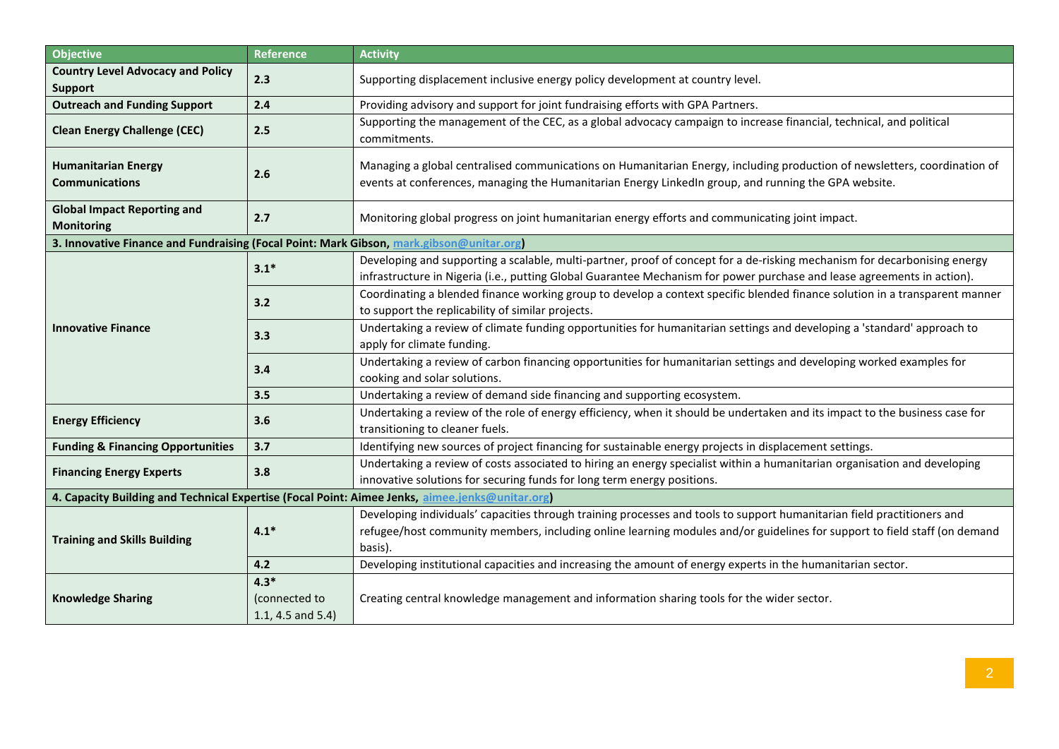| <b>Objective</b>                                                                               | Reference                                       | <b>Activity</b>                                                                                                                                                                                                                                                 |  |  |
|------------------------------------------------------------------------------------------------|-------------------------------------------------|-----------------------------------------------------------------------------------------------------------------------------------------------------------------------------------------------------------------------------------------------------------------|--|--|
| <b>Country Level Advocacy and Policy</b><br><b>Support</b>                                     | 2.3                                             | Supporting displacement inclusive energy policy development at country level.                                                                                                                                                                                   |  |  |
| <b>Outreach and Funding Support</b>                                                            | 2.4                                             | Providing advisory and support for joint fundraising efforts with GPA Partners.                                                                                                                                                                                 |  |  |
| <b>Clean Energy Challenge (CEC)</b>                                                            | 2.5                                             | Supporting the management of the CEC, as a global advocacy campaign to increase financial, technical, and political<br>commitments.                                                                                                                             |  |  |
| <b>Humanitarian Energy</b><br><b>Communications</b>                                            | 2.6                                             | Managing a global centralised communications on Humanitarian Energy, including production of newsletters, coordination of<br>events at conferences, managing the Humanitarian Energy LinkedIn group, and running the GPA website.                               |  |  |
| <b>Global Impact Reporting and</b><br><b>Monitoring</b>                                        | 2.7                                             | Monitoring global progress on joint humanitarian energy efforts and communicating joint impact.                                                                                                                                                                 |  |  |
| 3. Innovative Finance and Fundraising (Focal Point: Mark Gibson, mark.gibson@unitar.org)       |                                                 |                                                                                                                                                                                                                                                                 |  |  |
| <b>Innovative Finance</b>                                                                      | $3.1*$                                          | Developing and supporting a scalable, multi-partner, proof of concept for a de-risking mechanism for decarbonising energy<br>infrastructure in Nigeria (i.e., putting Global Guarantee Mechanism for power purchase and lease agreements in action).            |  |  |
|                                                                                                | 3.2                                             | Coordinating a blended finance working group to develop a context specific blended finance solution in a transparent manner<br>to support the replicability of similar projects.                                                                                |  |  |
|                                                                                                | 3.3                                             | Undertaking a review of climate funding opportunities for humanitarian settings and developing a 'standard' approach to<br>apply for climate funding.                                                                                                           |  |  |
|                                                                                                | 3.4                                             | Undertaking a review of carbon financing opportunities for humanitarian settings and developing worked examples for<br>cooking and solar solutions.                                                                                                             |  |  |
|                                                                                                | 3.5                                             | Undertaking a review of demand side financing and supporting ecosystem.                                                                                                                                                                                         |  |  |
| <b>Energy Efficiency</b>                                                                       | 3.6                                             | Undertaking a review of the role of energy efficiency, when it should be undertaken and its impact to the business case for<br>transitioning to cleaner fuels.                                                                                                  |  |  |
| <b>Funding &amp; Financing Opportunities</b>                                                   | 3.7                                             | Identifying new sources of project financing for sustainable energy projects in displacement settings.                                                                                                                                                          |  |  |
| <b>Financing Energy Experts</b>                                                                | 3.8                                             | Undertaking a review of costs associated to hiring an energy specialist within a humanitarian organisation and developing<br>innovative solutions for securing funds for long term energy positions.                                                            |  |  |
| 4. Capacity Building and Technical Expertise (Focal Point: Aimee Jenks, aimee.jenks@unitar.org |                                                 |                                                                                                                                                                                                                                                                 |  |  |
| <b>Training and Skills Building</b>                                                            | $4.1*$                                          | Developing individuals' capacities through training processes and tools to support humanitarian field practitioners and<br>refugee/host community members, including online learning modules and/or guidelines for support to field staff (on demand<br>basis). |  |  |
|                                                                                                | 4.2                                             | Developing institutional capacities and increasing the amount of energy experts in the humanitarian sector.                                                                                                                                                     |  |  |
| <b>Knowledge Sharing</b>                                                                       | $4.3*$<br>(connected to<br>1.1, 4.5 and $5.4$ ) | Creating central knowledge management and information sharing tools for the wider sector.                                                                                                                                                                       |  |  |